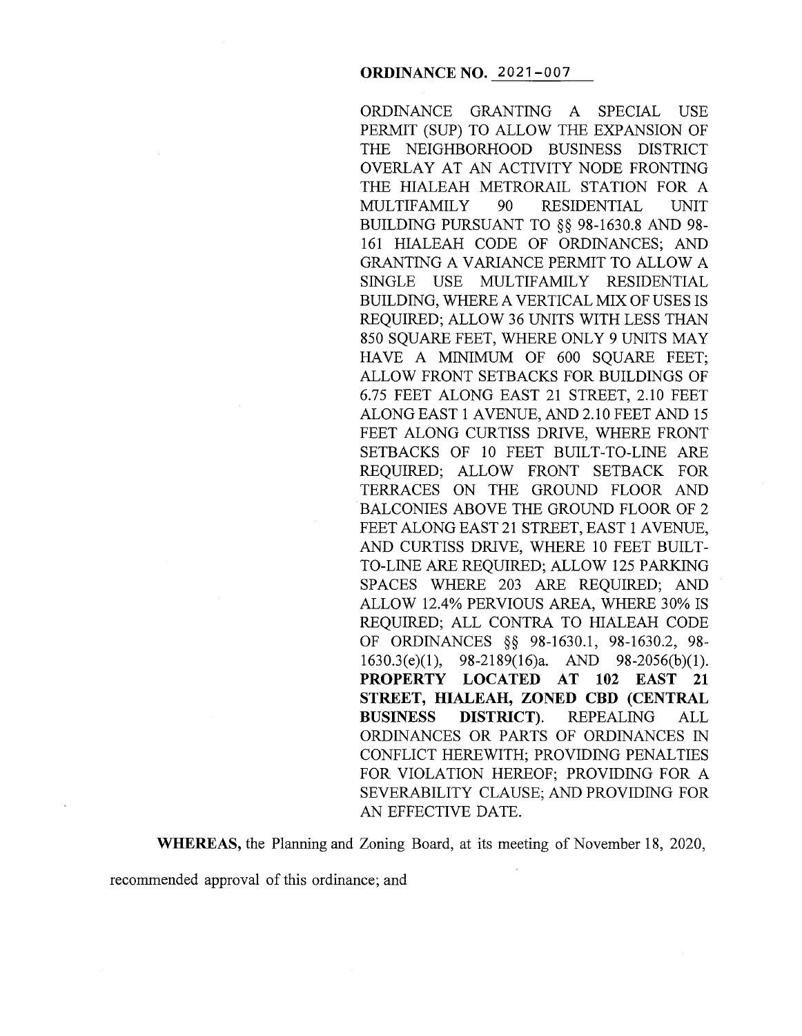ORDINANCE GRANTING A SPECIAL USE PERMIT (SUP) TO ALLOW THE EXPANSION OF THE NEIGHBORHOOD BUSINESS DISTRICT OVERLAY AT AN ACTIVITY NODE FRONTING THE HIALEAH METRORAIL STATION FOR A MULTIFAMILY 90 RESIDENTIAL UNIT BUILDING PURSUANT TO §§ 98-1630.8 AND 98- 161 HIALEAH CODE OF ORDINANCES; AND GRANTING A VARIANCE PERMIT TO ALLOW A SINGLE USE MULTIFAMILY RESIDENTIAL BUILDING, WHERE A VERTICAL MIX OF USES IS REQUIRED; ALLOW 36 UNITS WITH LESS THAN 850 SQUARE FEET, WHERE ONLY 9 UNITS MAY HAVE A MINIMUM OF 600 SQUARE FEET; ALLOW FRONT SETBACKS FOR BUILDINGS OF 6.75 FEET ALONG EAST 21 STREET, 2.10 FEET ALONG EAST 1 AVENUE, AND 2.10 FEET AND 15 FEET ALONG CURTISS DRIVE, WHERE FRONT SETBACKS OF IO FEET BUILT-TO-LINE ARE REQUIRED; ALLOW FRONT SETBACK FOR TERRACES ON THE GROUND FLOOR AND BALCONIES ABOVE THE GROUND FLOOR OF 2 FEET ALONG EAST 21 STREET, EAST 1 AVENUE, AND CURTISS DRIVE, WHERE 10 FEET BUILT-TO-LINE ARE REQUIRED; ALLOW 125 PARKING SPACES WHERE 203 ARE REQUIRED; AND ALLOW 12.4% PERVIOUS AREA, WHERE 30% IS REQUIRED; ALL CONTRA TO HIALEAH CODE OF ORDINANCES §§ 98-1630.1, 98-1630.2, 98- 1630.3(e)(l), 98-2189(16)a. AND 98-2056(b)(l). **PROPERTY LOCATED AT 102 EAST 21 STREET, HIALEAH, ZONED CBD (CENTRAL BUSINESS DISTRICT).** REPEALING ALL ORDINANCES OR PARTS OF ORDINANCES IN CONFLICT HEREWITH; PROVIDING PENALTIES FOR VIOLATION HEREOF; PROVIDING FOR A SEVERABILITY CLAUSE; AND PROVIDING FOR AN EFFECTIVE DATE.

**WHEREAS,** the Planning and Zoning Board, at its meeting of November 18, 2020,

recommended approval of this ordinance; and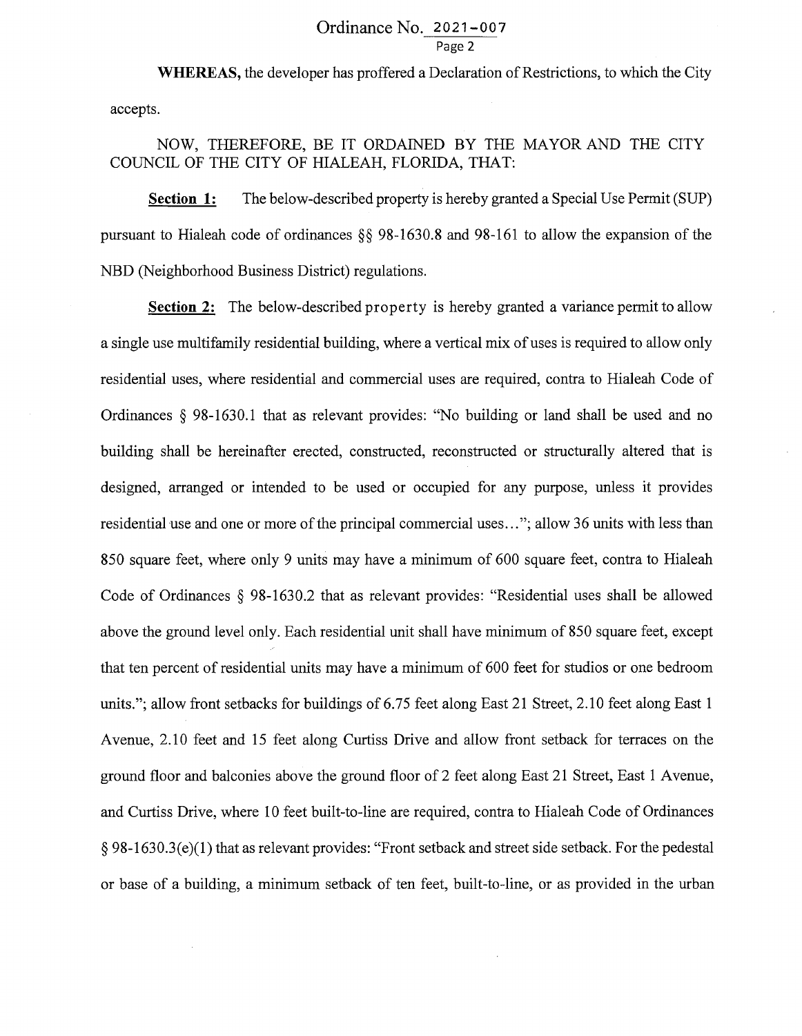## Ordinance No. 2021-007 Page 2

**WHEREAS,** the developer has proffered a Declaration of Restrictions, to which the City accepts.

## NOW, THEREFORE, BE IT ORDAINED BY THE MAYOR AND THE CITY COUNCIL OF THE CITY OF HIALEAH, FLORIDA, THAT:

**Section 1:** The below-described property is hereby granted a Special Use Permit (SUP) pursuant to Hialeah code of ordinances§§ 98-1630.8 and 98-161 to allow the expansion of the NBD (Neighborhood Business District) regulations.

**Section 2:** The below-described property is hereby granted a variance permit to allow a single use multifamily residential building, where a vertical mix of uses is required to allow only residential uses, where residential and commercial uses are required, contra to Hialeah Code of Ordinances § 98-1630.1 that as relevant provides: "No building or land shall be used and no building shall be hereinafter erected, constructed, reconstructed or structurally altered that is designed, arranged or intended to be used or occupied for any purpose, unless it provides residential use and one or more of the principal commercial uses ... "; allow 36 units with less than 850 square feet, where only 9 units may have a minimum of 600 square feet, contra to Hialeah Code of Ordinances § 98-1630.2 that as relevant provides: "Residential uses shall be allowed above the ground level only. Each residential unit shall have minimum of 850 square feet, except that ten percent of residential units may have a minimum of 600 feet for studios or one bedroom units."; allow front setbacks for buildings of 6.75 feet along East 21 Street, 2.10 feet along East 1 Avenue, 2.10 feet and 15 feet along Curtiss Drive and allow front setback for terraces on the ground floor and balconies above the ground floor of 2 feet along East 21 Street, East 1 A venue, and Curtiss Drive, where 10 feet built-to-line are required, contra to Hialeah Code of Ordinances § 98-1630.3(e)(l) that as relevant provides: "Front setback and street side setback. For the pedestal or base of a building, a minimum setback of ten feet, built-to-line, or as provided in the urban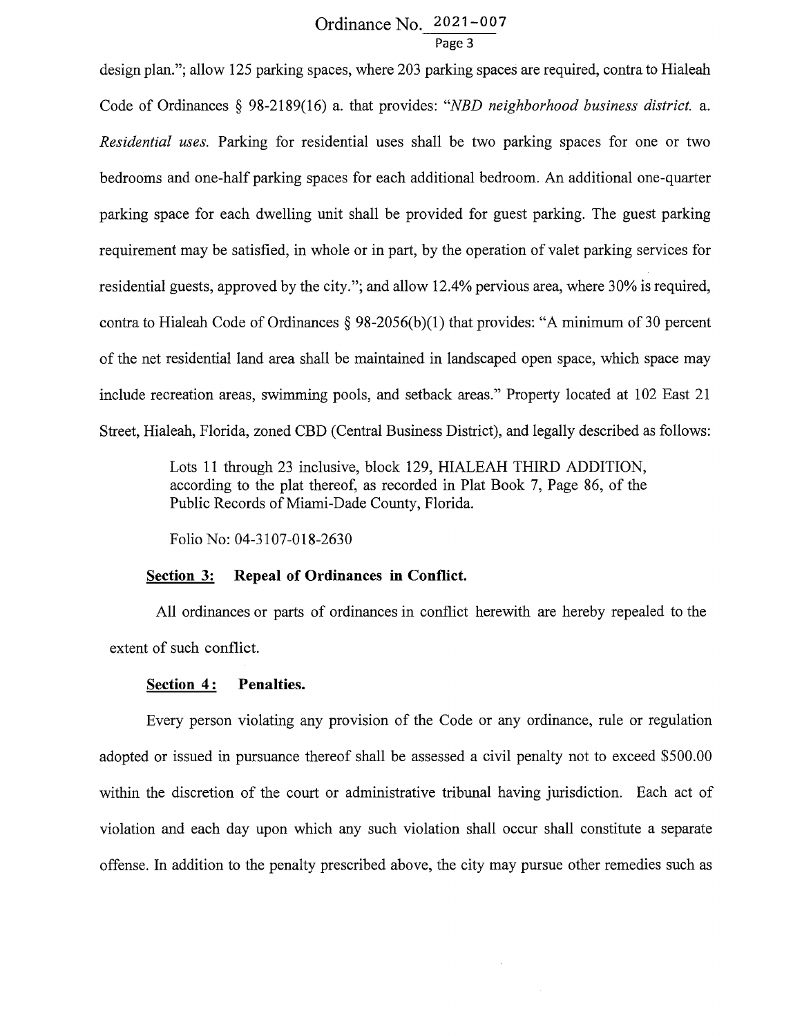# Ordinance No. 2021-007 Page 3

design plan."; allow 125 parking spaces, where 203 parking spaces are required, contra to Hialeah Code of Ordinances § 98-2189(16) a. that provides: *"NBD neighborhood business district.* a. *Residential uses.* Parking for residential uses shall be two parking spaces for one or two bedrooms and one-half parking spaces for each additional bedroom. An additional one-quarter parking space for each dwelling unit shall be provided for guest parking. The guest parking requirement may be satisfied, in whole or in part, by the operation of valet parking services for residential guests, approved by the city."; and allow 12.4% pervious area, where 30% is required, contra to Hialeah Code of Ordinances  $\S 98-2056(b)(1)$  that provides: "A minimum of 30 percent of the net residential land area shall be maintained in landscaped open space, which space may include recreation areas, swimming pools, and setback areas." Property located at 102 East 21 Street, Hialeah, Florida, zoned CBD (Central Business District), and legally described as follows:

> Lots 11 through 23 inclusive, block 129, HIALEAH THIRD ADDITION, according to the plat thereof, as recorded in Plat Book 7, Page 86, of the Public Records of Miami-Dade County, Florida.

Folio No: 04-3107-018-2630

#### **Section 3: Repeal of Ordinances in Conflict.**

All ordinances or parts of ordinances in conflict herewith are hereby repealed to the extent of such conflict.

#### Section 4: Penalties.

Every person violating any provision of the Code or any ordinance, rule or regulation adopted or issued in pursuance thereof shall be assessed a civil penalty not to exceed \$500.00 within the discretion of the court or administrative tribunal having jurisdiction. Each act of violation and each day upon which any such violation shall occur shall constitute a separate offense. In addition to the penalty prescribed above, the city may pursue other remedies such as